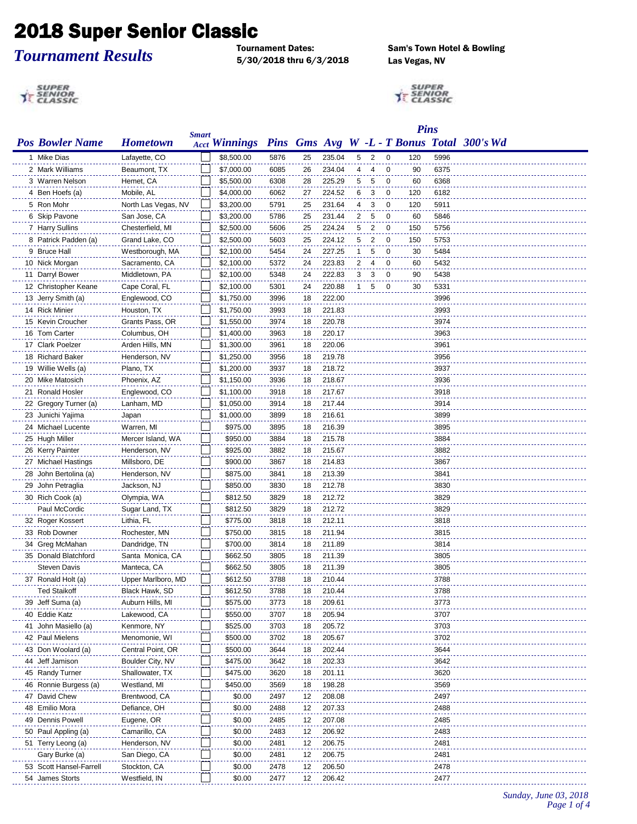## **2018 Super Senior Classic**<br>Tournament Dates:

## *Tournament Results*

5/30/2018 thru 6/3/2018 Las Vegas, NV

Sam's Town Hotel & Bowling

SUPER<br>TENIOR

SUPER<br>TE SENIOR

|                                        |                               |              |                      |              |          |                  |              |                |                         | <b>Pins</b> |              |                                            |
|----------------------------------------|-------------------------------|--------------|----------------------|--------------|----------|------------------|--------------|----------------|-------------------------|-------------|--------------|--------------------------------------------|
| <b>Pos Bowler Name</b>                 | <b>Hometown</b>               | <b>Smart</b> | <b>Acct Winnings</b> |              |          |                  |              |                |                         |             |              | Pins Gms Avg W -L - T Bonus Total 300's Wd |
| 1 Mike Dias                            | Lafayette, CO                 |              | \$8,500.00           | 5876         | 25       | 235.04           |              | 5 <sub>2</sub> | $\overline{0}$          | 120         | 5996         |                                            |
| 2 Mark Williams                        | Beaumont, TX                  |              | \$7,000.00           | 6085         | 26       | 234.04           | 4            | 4              | $\overline{\mathbf{0}}$ | 90          | 6375         |                                            |
| 3 Warren Nelson                        | Hemet, CA                     |              | \$5,500.00           | 6308         | 28       | 225.29           | 5            | 5              | 0                       | 60          | 6368         |                                            |
| 4 Ben Hoefs (a)                        | Mobile, AL                    |              | \$4,000.00           | 6062         | 27       | 224.52           | 6            | 3              | 0                       | 120         | 6182         |                                            |
| 5 Ron Mohr                             | North Las Vegas, NV           |              | \$3,200.00           | 5791         | 25       | 231.64           | 4            | 3              | 0                       | 120         | 5911         |                                            |
| 6 Skip Pavone                          | San Jose, CA                  |              | \$3,200.00           | 5786         | 25       | 231.44           | 2            | 5              | 0                       | 60          | 5846         |                                            |
| 7 Harry Sullins                        | Chesterfield, MI              |              | \$2,500.00           | 5606         | 25       | 224.24           | 5            | 2              | $\mathbf 0$             | 150         | 5756         |                                            |
| 8 Patrick Padden (a)                   | Grand Lake, CO                |              | \$2,500.00           | 5603         | 25       | 224.12           | 5            | $\overline{2}$ | $\mathbf 0$             | 150         | 5753         |                                            |
| 9 Bruce Hall                           | Westborough, MA               |              | \$2,100.00           | 5454         | 24       | 227.25           | $\mathbf{1}$ | 5              | 0                       | 30          | 5484         |                                            |
| 10 Nick Morgan                         | Sacramento, CA                |              | \$2,100.00           | 5372         | 24       | 223.83           | 2            | 4              | $\overline{0}$          | 60          | 5432         |                                            |
| 11 Darryl Bower                        | Middletown, PA                |              | \$2,100.00           | 5348         | 24       | 222.83           | 3            | 3              | 0                       | 90          | 5438         |                                            |
| 12 Christopher Keane                   | Cape Coral, FL                |              | \$2,100.00           | 5301         | 24       | 220.88           | 1            | 5              | 0                       | 30          | 5331         |                                            |
| 13 Jerry Smith (a)                     | Englewood, CO                 |              | \$1,750.00           | 3996         | 18       | 222.00           |              |                |                         |             | 3996         |                                            |
| 14 Rick Minier                         | Houston, TX                   |              | \$1,750.00           | 3993         | 18       | 221.83           |              |                |                         |             | 3993         |                                            |
| 15 Kevin Croucher                      | Grants Pass, OR               |              | \$1,550.00           | 3974         | 18       | 220.78           |              |                |                         |             | 3974         |                                            |
| 16 Tom Carter                          | Columbus, OH                  |              | \$1,400.00           | 3963         | 18       | 220.17           |              |                |                         |             | 3963         |                                            |
| 17 Clark Poelzer                       | Arden Hills, MN               |              | \$1,300.00           | 3961         | 18       | 220.06           |              |                |                         |             | 3961         |                                            |
| 18 Richard Baker                       | Henderson, NV                 |              | \$1,250.00           | 3956         | 18       | 219.78           |              |                |                         |             | 3956         |                                            |
| 19 Willie Wells (a)                    | Plano, TX                     |              | \$1,200.00           | 3937         | 18       | 218.72           |              |                |                         |             | 3937         |                                            |
| 20 Mike Matosich                       | Phoenix, AZ                   |              | \$1,150.00           | 3936         | 18       | 218.67           |              |                |                         |             | 3936         |                                            |
| 21 Ronald Hosler                       | Englewood, CO                 |              | \$1,100.00           | 3918         | 18       | 217.67           |              |                |                         |             | 3918         |                                            |
| 22 Gregory Turner (a)                  | Lanham, MD                    |              | \$1,050.00           | 3914         | 18       | 217.44           |              |                |                         |             | 3914         |                                            |
| 23 Junichi Yajima                      | Japan                         |              | \$1,000.00           | 3899         | 18       | 216.61           |              |                |                         |             | 3899         |                                            |
| 24 Michael Lucente                     | Warren, MI                    |              | \$975.00             | 3895         | 18       | 216.39           |              |                |                         |             | 3895         |                                            |
| 25 Hugh Miller                         | Mercer Island, WA             |              | \$950.00             | 3884         | 18       | 215.78           |              |                |                         |             | 3884         |                                            |
| 26 Kerry Painter                       | Henderson, NV                 |              | \$925.00             | 3882         | 18       | 215.67           |              |                |                         |             | 3882         |                                            |
| 27 Michael Hastings                    | Millsboro, DE                 |              | \$900.00             | 3867         | 18       | 214.83           |              |                |                         |             | 3867         |                                            |
| 28 John Bertolina (a)                  | Henderson, NV                 |              | \$875.00             | 3841         | 18       | 213.39           |              |                |                         |             | 3841         |                                            |
| 29 John Petraglia                      | Jackson, NJ                   |              | \$850.00             | 3830         | 18       | 212.78           |              |                |                         |             | 3830         |                                            |
| 30 Rich Cook (a)                       | Olympia, WA                   |              | \$812.50             | 3829         | 18       | 212.72           |              |                |                         |             | 3829         |                                            |
| Paul McCordic                          | Sugar Land, TX                |              | \$812.50             | 3829         | 18       | 212.72           |              |                |                         |             | 3829         |                                            |
| 32 Roger Kossert                       | Lithia, FL                    |              | \$775.00             | 3818         | 18       | 212.11           |              |                |                         |             | 3818         |                                            |
| 33 Rob Downer                          | Rochester, MN                 |              | \$750.00             | 3815         | 18       | 211.94           |              |                |                         |             | 3815         |                                            |
| 34 Greg McMahan                        | Dandridge, TN                 |              | \$700.00             | 3814         | 18       | 211.89           |              |                |                         |             | 3814         |                                            |
| 35 Donald Blatchford                   | Santa Monica, CA              |              | \$662.50             | 3805         | 18       | 211.39           |              |                |                         |             | 3805         |                                            |
| <b>Steven Davis</b>                    | Manteca, CA                   |              | \$662.50             | 3805         | 18       | 211.39           |              |                |                         |             | 3805         |                                            |
| 37 Ronald Holt (a)                     | Upper Marlboro, MD            |              | \$612.50             | 3788         | 18       | 210.44           |              |                |                         |             | 3788         |                                            |
| <b>Ted Staikoff</b>                    | Black Hawk, SD                |              |                      |              |          |                  |              |                |                         |             |              |                                            |
| 39 Jeff Suma (a)                       | Auburn Hills, MI              |              | \$612.50<br>\$575.00 | 3788<br>3773 | 18<br>18 | 210.44<br>209.61 |              |                |                         |             | 3788<br>3773 |                                            |
| 40 Eddie Katz                          | Lakewood, CA                  |              | \$550.00             | 3707         | 18       | 205.94           |              |                |                         |             | 3707         |                                            |
| 41 John Masiello (a)                   | Kenmore, NY                   |              | \$525.00             | 3703         | 18       | 205.72           |              |                |                         |             | 3703         |                                            |
| 42 Paul Mielens                        | Menomonie, WI                 |              | \$500.00             | 3702         | 18       | 205.67           |              |                |                         |             | 3702         |                                            |
| 43 Don Woolard (a)                     | Central Point, OR             |              | \$500.00             | 3644         | 18       | 202.44           |              |                |                         |             | 3644         |                                            |
| 44 Jeff Jamison                        | Boulder City, NV              |              | \$475.00             | 3642         | 18       | 202.33           |              |                |                         |             | 3642         |                                            |
| 45 Randy Turner                        |                               |              | \$475.00             | 3620         |          | 201.11           |              |                |                         |             | 3620         |                                            |
|                                        | Shallowater, TX               |              |                      |              | 18       |                  |              |                |                         |             |              |                                            |
| 46 Ronnie Burgess (a)<br>47 David Chew | Westland, MI<br>Brentwood, CA |              | \$450.00<br>\$0.00   | 3569<br>2497 | 18<br>12 | 198.28<br>208.08 |              |                |                         |             | 3569<br>2497 |                                            |
|                                        |                               |              |                      |              |          |                  |              |                |                         |             |              |                                            |
| 48 Emilio Mora<br>49 Dennis Powell     | Defiance, OH<br>Eugene, OR    |              | \$0.00<br>\$0.00     | 2488<br>2485 | 12<br>12 | 207.33<br>207.08 |              |                |                         |             | 2488<br>2485 |                                            |
|                                        |                               |              |                      |              |          |                  |              |                |                         |             | 2483         |                                            |
| 50 Paul Appling (a)                    | Camarillo, CA                 |              | \$0.00               | 2483         | 12       | 206.92           |              |                |                         |             |              |                                            |
| 51 Terry Leong (a)                     | Henderson, NV                 |              | \$0.00               | 2481         | 12       | 206.75           |              |                |                         |             | 2481         |                                            |
| Gary Burke (a)                         | San Diego, CA                 |              | \$0.00               | 2481         | 12       | 206.75           |              |                |                         |             | 2481         |                                            |
| 53 Scott Hansel-Farrell                | Stockton, CA                  |              | \$0.00               | 2478         | 12       | 206.50           |              |                |                         |             | 2478         |                                            |
| 54 James Storts                        | Westfield, IN                 |              | \$0.00               | 2477         | 12       | 206.42           |              |                |                         |             | 2477         |                                            |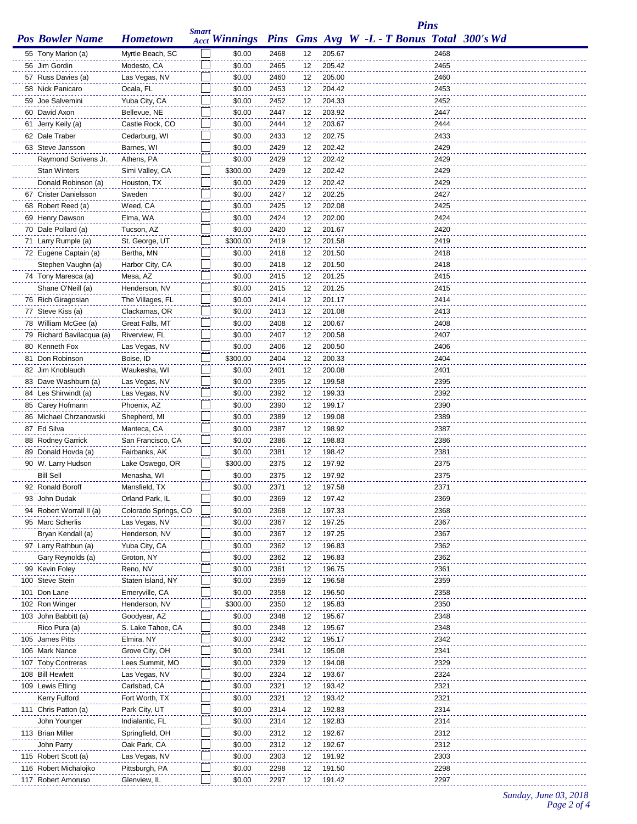|                                             |                                |              |                  |              |          |                  |                                                          | <b>Pins</b>  |  |
|---------------------------------------------|--------------------------------|--------------|------------------|--------------|----------|------------------|----------------------------------------------------------|--------------|--|
| <b>Pos Bowler Name</b>                      | <b>Hometown</b>                | <b>Smart</b> |                  |              |          |                  | Acct Winnings Pins Gms Avg W -L - T Bonus Total 300's Wd |              |  |
| 55 Tony Marion (a)                          | Myrtle Beach, SC               |              | \$0.00           | 2468         | 12       | 205.67           |                                                          | 2468         |  |
| 56 Jim Gordin                               | Modesto, CA                    |              | \$0.00           | 2465         | 12       | 205.42           |                                                          | 2465         |  |
| 57 Russ Davies (a)                          | Las Vegas, NV                  |              | \$0.00           | 2460         | 12       | 205.00           |                                                          | 2460         |  |
| 58 Nick Panicaro                            | Ocala, FL                      |              | \$0.00           | 2453         | 12       | 204.42           |                                                          | 2453         |  |
| 59 Joe Salvemini                            | Yuba City, CA                  |              | \$0.00           | 2452         | 12       | 204.33           |                                                          | 2452         |  |
| 60 David Axon                               | Bellevue, NE                   |              | \$0.00           | 2447         | 12       | 203.92           |                                                          | 2447         |  |
| 61 Jerry Keily (a)                          | Castle Rock, CO                |              | \$0.00           | 2444         | 12       | 203.67           |                                                          | 2444         |  |
| 62 Dale Traber                              | Cedarburg, WI                  |              | \$0.00           | 2433         | 12       | 202.75           |                                                          | 2433         |  |
| 63 Steve Jansson                            | Barnes, WI                     |              | \$0.00           | 2429         | 12       | 202.42           |                                                          | 2429         |  |
| Raymond Scrivens Jr.                        | Athens, PA                     |              | \$0.00           | 2429         | 12       | 202.42           |                                                          | 2429         |  |
| <b>Stan Winters</b>                         | Simi Valley, CA                |              | \$300.00         | 2429         | 12       | 202.42           |                                                          | 2429         |  |
| Donald Robinson (a)                         | Houston, TX                    |              | \$0.00           | 2429         | 12       | 202.42           |                                                          | 2429         |  |
| 67 Crister Danielsson                       | Sweden                         |              | \$0.00           | 2427         | 12       | 202.25           |                                                          | 2427         |  |
| 68 Robert Reed (a)                          | Weed, CA                       |              | \$0.00           | 2425         | 12       | 202.08           |                                                          | 2425         |  |
| 69 Henry Dawson                             | Elma, WA                       |              | \$0.00           | 2424         | 12       | 202.00           |                                                          | 2424         |  |
| 70 Dale Pollard (a)                         | Tucson, AZ                     |              | \$0.00           | 2420         | 12       | 201.67           |                                                          | 2420         |  |
| 71 Larry Rumple (a)                         | St. George, UT                 |              | \$300.00         | 2419         | 12       | 201.58           |                                                          | 2419         |  |
| 72 Eugene Captain (a)<br>Stephen Vaughn (a) | Bertha, MN<br>Harbor City, CA  |              | \$0.00<br>\$0.00 | 2418<br>2418 | 12<br>12 | 201.50<br>201.50 |                                                          | 2418<br>2418 |  |
| 74 Tony Maresca (a)                         | Mesa, AZ                       |              | \$0.00           | 2415         |          | 201.25           |                                                          | 2415         |  |
| Shane O'Neill (a)                           | Henderson, NV                  |              | \$0.00           | 2415         | 12<br>12 | 201.25           |                                                          | 2415         |  |
| 76 Rich Giragosian                          | The Villages, FL               |              | \$0.00           | 2414         | 12       | 201.17           |                                                          | 2414         |  |
| 77 Steve Kiss (a)                           | Clackamas, OR                  |              | \$0.00           | 2413         | 12       | 201.08           |                                                          | 2413         |  |
| 78 William McGee (a)                        | Great Falls, MT                |              | \$0.00           | 2408         | 12       | 200.67           |                                                          | 2408         |  |
| 79 Richard Bavilacqua (a)                   | Riverview, FL                  |              | \$0.00           | 2407         | 12       | 200.58           |                                                          | 2407         |  |
| 80 Kenneth Fox                              | Las Vegas, NV                  |              | \$0.00           | 2406         | 12       | 200.50           |                                                          | 2406         |  |
| 81 Don Robinson                             | Boise, ID                      |              | \$300.00         | 2404         | 12       | 200.33           |                                                          | 2404         |  |
| 82 Jim Knoblauch                            | Waukesha, WI                   |              | \$0.00           | 2401         | 12       | 200.08           |                                                          | 2401         |  |
| 83 Dave Washburn (a)                        | Las Vegas, NV                  |              | \$0.00           | 2395         | 12       | 199.58           |                                                          | 2395         |  |
| 84 Les Shirwindt (a)                        | Las Vegas, NV                  |              | \$0.00           | 2392         | 12       | 199.33           |                                                          | 2392         |  |
| 85 Carey Hofmann                            | Phoenix, AZ                    |              | \$0.00           | 2390         | 12       | 199.17           |                                                          | 2390         |  |
| 86 Michael Chrzanowski                      | Shepherd, MI                   |              | \$0.00           | 2389         | 12       | 199.08           |                                                          | 2389         |  |
| 87 Ed Silva                                 | Manteca, CA                    |              | \$0.00           | 2387         | 12       | 198.92           |                                                          | 2387         |  |
| 88 Rodney Garrick                           | San Francisco, CA              |              | \$0.00           | 2386         | 12       | 198.83           |                                                          | 2386         |  |
| 89 Donald Hovda (a)                         | Fairbanks, AK                  |              | \$0.00           | 2381         | 12       | 198.42           |                                                          | 2381         |  |
| 90 W. Larry Hudson                          | Lake Oswego, OR                |              | \$300.00         | 2375         | 12       | 197.92           |                                                          | 2375         |  |
| <b>Bill Sell</b>                            | Menasha, WI                    |              | \$0.00           | 2375         | 12       | 197.92           |                                                          | 2375         |  |
| 92 Ronald Boroff                            | Mansfield, TX                  |              | \$0.00           | 2371         | 12       | 197.58           |                                                          | 2371         |  |
| 93 John Dudak                               | Orland Park, IL                |              | \$0.00           | 2369         | 12       | 197.42           |                                                          | 2369         |  |
| 94 Robert Worrall II (a)                    | Colorado Springs, CO           |              | \$0.00           | 2368         | 12       | 197.33           |                                                          | 2368         |  |
| 95 Marc Scherlis                            | Las Vegas, NV                  |              | \$0.00           | 2367         | 12       | 197.25           |                                                          | 2367         |  |
| Bryan Kendall (a)<br>97 Larry Rathbun (a)   | Henderson, NV<br>Yuba City, CA |              | \$0.00<br>\$0.00 | 2367<br>2362 | 12<br>12 | 197.25<br>196.83 |                                                          | 2367<br>2362 |  |
| Gary Reynolds (a)                           | Groton, NY                     |              | \$0.00           | 2362         | 12       | 196.83           |                                                          | 2362         |  |
| 99 Kevin Foley                              | Reno, NV                       |              | \$0.00           | 2361         | 12       | 196.75           |                                                          | 2361         |  |
| 100 Steve Stein                             | Staten Island, NY              |              | \$0.00           | 2359         | 12       | 196.58           |                                                          | 2359         |  |
| 101 Don Lane                                | Emeryville, CA                 |              | \$0.00           | 2358         | 12       | 196.50           |                                                          | 2358         |  |
| 102 Ron Winger                              | Henderson, NV                  |              | \$300.00         | 2350         | 12       | 195.83           |                                                          | 2350         |  |
| 103 John Babbitt (a)                        | Goodyear, AZ                   |              | \$0.00           | 2348         | 12       | 195.67           |                                                          | 2348         |  |
| Rico Pura (a)                               | S. Lake Tahoe, CA              |              | \$0.00           | 2348         | 12       | 195.67           |                                                          | 2348         |  |
| 105 James Pitts                             | Elmira, NY                     |              | \$0.00           | 2342         | 12       | 195.17           |                                                          | 2342         |  |
| 106 Mark Nance                              | Grove City, OH                 |              | \$0.00           | 2341         | 12       | 195.08           |                                                          | 2341         |  |
| 107 Toby Contreras                          | Lees Summit, MO                |              | \$0.00           | 2329         | 12       | 194.08           |                                                          | 2329         |  |
| 108 Bill Hewlett                            | Las Vegas, NV                  |              | \$0.00           | 2324         | 12       | 193.67           |                                                          | 2324         |  |
| 109 Lewis Elting                            | Carlsbad, CA                   |              | \$0.00           | 2321         | 12       | 193.42           |                                                          | 2321         |  |
| Kerry Fulford                               | Fort Worth, TX                 |              | \$0.00           | 2321         | 12       | 193.42           |                                                          | 2321         |  |
| 111 Chris Patton (a)                        | Park City, UT                  |              | \$0.00           | 2314         | 12       | 192.83           |                                                          | 2314         |  |
| John Younger                                | Indialantic, FL                |              | \$0.00           | 2314         | 12       | 192.83           |                                                          | 2314         |  |
| 113 Brian Miller                            | Springfield, OH                |              | \$0.00           | 2312         | 12       | 192.67           |                                                          | 2312         |  |
| John Parry                                  | Oak Park, CA                   |              | \$0.00           | 2312         | 12       | 192.67           |                                                          | 2312         |  |
| 115 Robert Scott (a)                        | Las Vegas, NV                  |              | \$0.00           | 2303         | 12       | 191.92           |                                                          | 2303         |  |
| 116 Robert Michalojko                       | Pittsburgh, PA                 |              | \$0.00           | 2298         | 12       | 191.50           |                                                          | 2298         |  |
| 117 Robert Amoruso                          | Glenview, IL                   |              | \$0.00           | 2297         | 12       | 191.42           |                                                          | 2297         |  |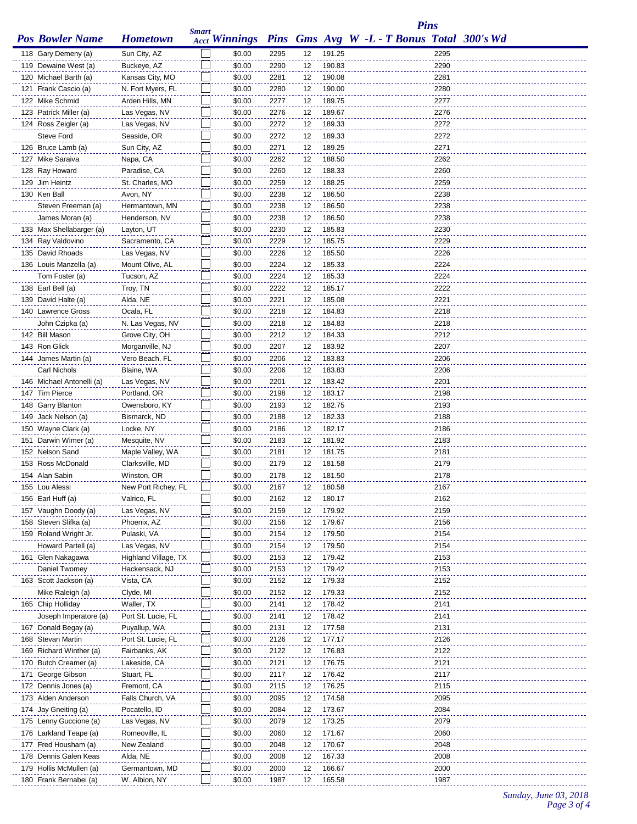|                                               |                                    | <b>Smart</b> |                      |              |          |                  | <b>Pins</b>                                       |              |  |
|-----------------------------------------------|------------------------------------|--------------|----------------------|--------------|----------|------------------|---------------------------------------------------|--------------|--|
| <b>Pos Bowler Name</b>                        | <b>Hometown</b>                    |              | <b>Acct Winnings</b> |              |          |                  | <b>Pins</b> Gms Avg W -L - T Bonus Total 300's Wd |              |  |
| 118 Gary Demeny (a)                           | Sun City, AZ                       |              | \$0.00               | 2295         | 12       | 191.25           |                                                   | 2295         |  |
| 119 Dewaine West (a)                          | Buckeye, AZ                        |              | \$0.00               | 2290         | 12       | 190.83           |                                                   | 2290         |  |
| 120 Michael Barth (a)                         | Kansas City, MO                    |              | \$0.00               | 2281         | 12       | 190.08           |                                                   | 2281         |  |
| 121 Frank Cascio (a)                          | N. Fort Myers, FL                  |              | \$0.00               | 2280         | 12       | 190.00           |                                                   | 2280         |  |
| 122 Mike Schmid                               | Arden Hills, MN                    |              | \$0.00               | 2277         | 12       | 189.75           |                                                   | 2277         |  |
| 123 Patrick Miller (a)                        | Las Vegas, NV                      |              | \$0.00               | 2276         | 12       | 189.67           |                                                   | 2276         |  |
| 124 Ross Zeigler (a)                          | Las Vegas, NV                      |              | \$0.00               | 2272         | 12       | 189.33           |                                                   | 2272         |  |
| <b>Steve Ford</b>                             | Seaside, OR                        |              | \$0.00               | 2272         | 12       | 189.33           |                                                   | 2272         |  |
| 126 Bruce Lamb (a)                            | Sun City, AZ                       |              | \$0.00               | 2271         | 12       | 189.25           |                                                   | 2271         |  |
| 127 Mike Saraiva                              | Napa, CA                           |              | \$0.00               | 2262         | 12       | 188.50           |                                                   | 2262         |  |
| 128 Ray Howard                                | Paradise, CA                       |              | \$0.00               | 2260         | 12       | 188.33           |                                                   | 2260         |  |
| 129 Jim Heintz                                | St. Charles, MO                    |              | \$0.00               | 2259         | 12       | 188.25           |                                                   | 2259         |  |
| 130 Ken Ball                                  | Avon, NY                           |              | \$0.00               | 2238         | 12       | 186.50           |                                                   | 2238         |  |
| Steven Freeman (a)                            | Hermantown, MN                     |              | \$0.00               | 2238         | 12       | 186.50           |                                                   | 2238         |  |
| James Moran (a)                               | Henderson, NV                      |              | \$0.00               | 2238         | 12       | 186.50           |                                                   | 2238         |  |
| 133 Max Shellabarger (a)                      | Layton, UT                         |              | \$0.00<br>\$0.00     | 2230         | 12       | 185.83<br>185.75 |                                                   | 2230<br>2229 |  |
| 134 Ray Valdovino<br>135 David Rhoads         | Sacramento, CA<br>Las Vegas, NV    |              | \$0.00               | 2229<br>2226 | 12<br>12 | 185.50           |                                                   | 2226         |  |
| 136 Louis Manzella (a)                        | Mount Olive, AL                    |              | \$0.00               | 2224         | 12       | 185.33           |                                                   | 2224         |  |
| Tom Foster (a)                                | Tucson, AZ                         |              | \$0.00               | 2224         | 12       | 185.33           |                                                   | 2224         |  |
| 138 Earl Bell (a)                             | Troy, TN                           |              | \$0.00               | 2222         | 12       | 185.17           |                                                   | 2222         |  |
| 139 David Halte (a)                           | Alda, NE                           |              | \$0.00               | 2221         | 12       | 185.08           |                                                   | 2221         |  |
| 140 Lawrence Gross                            | Ocala, FL                          |              | \$0.00               | 2218         | 12       | 184.83           |                                                   | 2218         |  |
| John Czipka (a)                               | N. Las Vegas, NV                   |              | \$0.00               | 2218         | 12       | 184.83           |                                                   | 2218         |  |
| 142 Bill Mason                                | Grove City, OH                     |              | \$0.00               | 2212         | 12       | 184.33           |                                                   | 2212         |  |
| 143 Ron Glick                                 | Morganville, NJ                    |              | \$0.00               | 2207         | 12       | 183.92           |                                                   | 2207         |  |
| 144 James Martin (a)                          | Vero Beach, FL                     |              | \$0.00               | 2206         | 12       | 183.83           |                                                   | 2206         |  |
| Carl Nichols                                  | Blaine, WA                         |              | \$0.00               | 2206         | 12       | 183.83           |                                                   | 2206         |  |
| 146 Michael Antonelli (a)                     | Las Vegas, NV                      |              | \$0.00               | 2201         | 12       | 183.42           |                                                   | 2201         |  |
| 147 Tim Pierce                                | Portland, OR                       |              | \$0.00               | 2198         | 12       | 183.17           |                                                   | 2198         |  |
| 148 Garry Blanton                             | Owensboro, KY                      |              | \$0.00               | 2193         | 12       | 182.75           |                                                   | 2193         |  |
| 149 Jack Nelson (a)                           | Bismarck, ND                       |              | \$0.00               | 2188         | 12       | 182.33           |                                                   | 2188         |  |
| 150 Wayne Clark (a)                           | Locke, NY                          |              | \$0.00               | 2186         | 12       | 182.17           |                                                   | 2186         |  |
| 151 Darwin Wimer (a)                          | Mesquite, NV                       |              | \$0.00               | 2183         | 12       | 181.92           |                                                   | 2183         |  |
| 152 Nelson Sand                               | Maple Valley, WA                   |              | \$0.00               | 2181         | 12       | 181.75           |                                                   | 2181         |  |
| 153 Ross McDonald                             | Clarksville, MD                    |              | \$0.00               | 2179         | 12       | 181.58           |                                                   | 2179         |  |
| 154 Alan Sabin                                | Winston, OR                        |              | \$0.00               | 2178         | 12       | 181.50           |                                                   | 2178         |  |
| 155 Lou Alessi                                | New Port Richey, FL                |              | \$0.00               | 2167         | 12       | 180.58           |                                                   | 2167         |  |
| 156 Earl Huff (a)                             | Valrico, FL                        |              | \$0.00               | 2162         | 12       | 180.17           |                                                   | 2162         |  |
| 157 Vaughn Doody (a)                          | Las Vegas, NV                      |              | \$0.00               | 2159         | 12       | 179.92           |                                                   | 2159         |  |
| 158 Steven Slifka (a)                         | Phoenix, AZ                        |              | \$0.00               | 2156         | 12       | 179.67           |                                                   | 2156         |  |
| 159 Roland Wright Jr.                         | Pulaski, VA                        |              | \$0.00               | 2154         | 12       | 179.50           |                                                   | 2154         |  |
| Howard Partell (a)                            | Las Vegas, NV                      |              | \$0.00               | 2154         | 12       | 179.50           |                                                   | 2154         |  |
| 161 Glen Nakagawa                             | Highland Village, TX               |              | \$0.00               | 2153         | 12       | 179.42           |                                                   | 2153         |  |
| Daniel Twomey                                 | Hackensack, NJ                     |              | \$0.00               | 2153         | 12       | 179.42           |                                                   | 2153         |  |
| 163 Scott Jackson (a)                         | Vista, CA                          |              | \$0.00               | 2152         | 12       | 179.33           |                                                   | 2152         |  |
| Mike Raleigh (a)                              | Clyde, MI                          |              | \$0.00               | 2152         | 12       | 179.33           |                                                   | 2152         |  |
| 165 Chip Holliday                             | Waller, TX                         |              | \$0.00               | 2141<br>2141 | 12       | 178.42           |                                                   | 2141         |  |
| Joseph Imperatore (a)<br>167 Donald Begay (a) | Port St. Lucie, FL                 |              | \$0.00               |              | 12<br>12 | 178.42<br>177.58 |                                                   | 2141<br>2131 |  |
| 168 Stevan Martin                             | Puyallup, WA<br>Port St. Lucie, FL |              | \$0.00<br>\$0.00     | 2131<br>2126 | 12       | 177.17           |                                                   | 2126         |  |
| 169 Richard Winther (a)                       | Fairbanks, AK                      |              | \$0.00               | 2122         | 12       | 176.83           |                                                   | 2122         |  |
| 170 Butch Creamer (a)                         | Lakeside, CA                       |              | \$0.00               | 2121         | 12       | 176.75           |                                                   | 2121         |  |
| 171 George Gibson                             | Stuart, FL                         |              | \$0.00               | 2117         | 12       | 176.42           |                                                   | 2117         |  |
| 172 Dennis Jones (a)                          | Fremont, CA                        |              | \$0.00               | 2115         | 12       | 176.25           |                                                   | 2115         |  |
| 173 Alden Anderson                            | Falls Church, VA                   |              | \$0.00               | 2095         | 12       | 174.58           |                                                   | 2095         |  |
| 174 Jay Gneiting (a)                          | Pocatello, ID                      |              | \$0.00               | 2084         | 12       | 173.67           |                                                   | 2084         |  |
| 175 Lenny Guccione (a)                        | Las Vegas, NV                      |              | \$0.00               | 2079         | 12       | 173.25           |                                                   | 2079         |  |
| 176 Larkland Teape (a)                        | Romeoville, IL                     |              | \$0.00               | 2060         | 12       | 171.67           |                                                   | 2060         |  |
| 177 Fred Housham (a)                          | New Zealand                        |              | \$0.00               | 2048         | 12       | 170.67           |                                                   | 2048         |  |
| 178 Dennis Galen Keas                         | Alda, NE                           |              | \$0.00               | 2008         | 12       | 167.33           |                                                   | 2008         |  |
| 179 Hollis McMullen (a)                       | Germantown, MD                     |              | \$0.00               | 2000         | 12       | 166.67           |                                                   | 2000         |  |
| 180 Frank Bernabei (a)                        | W. Albion, NY                      |              | \$0.00               | 1987         | 12       | 165.58           |                                                   | 1987         |  |
|                                               |                                    |              |                      |              |          |                  |                                                   |              |  |